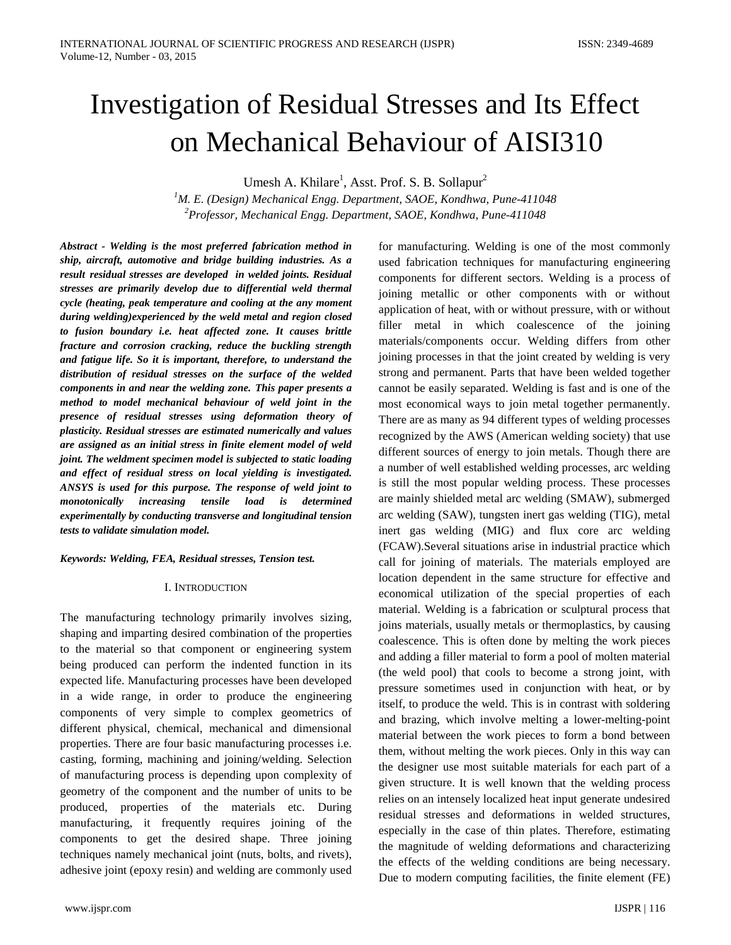# Investigation of Residual Stresses and Its Effect on Mechanical Behaviour of AISI310

Umesh A. Khilare<sup>1</sup>, Asst. Prof. S. B. Sollapur<sup>2</sup>

*1 M. E. (Design) Mechanical Engg. Department, SAOE, Kondhwa, Pune-411048 2 Professor, Mechanical Engg. Department, SAOE, Kondhwa, Pune-411048*

*Abstract - Welding is the most preferred fabrication method in ship, aircraft, automotive and bridge building industries. As a result residual stresses are developed in welded joints. Residual stresses are primarily develop due to differential weld thermal cycle (heating, peak temperature and cooling at the any moment during welding)experienced by the weld metal and region closed to fusion boundary i.e. heat affected zone. It causes brittle fracture and corrosion cracking, reduce the buckling strength and fatigue life. So it is important, therefore, to understand the distribution of residual stresses on the surface of the welded components in and near the welding zone. This paper presents a method to model mechanical behaviour of weld joint in the presence of residual stresses using deformation theory of plasticity. Residual stresses are estimated numerically and values are assigned as an initial stress in finite element model of weld joint. The weldment specimen model is subjected to static loading and effect of residual stress on local yielding is investigated. ANSYS is used for this purpose. The response of weld joint to monotonically increasing tensile load is determined experimentally by conducting transverse and longitudinal tension tests to validate simulation model.*

*Keywords: Welding, FEA, Residual stresses, Tension test.*

### I. INTRODUCTION

The manufacturing technology primarily involves sizing, shaping and imparting desired combination of the properties to the material so that component or engineering system being produced can perform the indented function in its expected life. Manufacturing processes have been developed in a wide range, in order to produce the engineering components of very simple to complex geometrics of different physical, chemical, mechanical and dimensional properties. There are four basic manufacturing processes i.e. casting, forming, machining and joining/welding. Selection of manufacturing process is depending upon complexity of geometry of the component and the number of units to be produced, properties of the materials etc. During manufacturing, it frequently requires joining of the components to get the desired shape. Three joining techniques namely mechanical joint (nuts, bolts, and rivets), adhesive joint (epoxy resin) and welding are commonly used

for manufacturing. Welding is one of the most commonly used fabrication techniques for manufacturing engineering components for different sectors. Welding is a process of joining metallic or other components with or without application of heat, with or without pressure, with or without filler metal in which coalescence of the joining materials/components occur. Welding differs from other joining processes in that the joint created by welding is very strong and permanent. Parts that have been welded together cannot be easily separated. Welding is fast and is one of the most economical ways to join metal together permanently. There are as many as 94 different types of welding processes recognized by the AWS (American welding society) that use different sources of energy to join metals. Though there are a number of well established welding processes, arc welding is still the most popular welding process. These processes are mainly shielded metal arc welding (SMAW), submerged arc welding (SAW), tungsten inert gas welding (TIG), metal inert gas welding (MIG) and flux core arc welding (FCAW).Several situations arise in industrial practice which call for joining of materials. The materials employed are location dependent in the same structure for effective and economical utilization of the special properties of each material. Welding is a fabrication or sculptural process that joins materials, usually metals or thermoplastics, by causing coalescence. This is often done by melting the work pieces and adding a filler material to form a pool of molten material (the weld pool) that cools to become a strong joint, with pressure sometimes used in conjunction with heat, or by itself, to produce the weld. This is in contrast with soldering and brazing, which involve melting a lower-melting-point material between the work pieces to form a bond between them, without melting the work pieces. Only in this way can the designer use most suitable materials for each part of a given structure. It is well known that the welding process relies on an intensely localized heat input generate undesired residual stresses and deformations in welded structures, especially in the case of thin plates. Therefore, estimating the magnitude of welding deformations and characterizing the effects of the welding conditions are being necessary. Due to modern computing facilities, the finite element (FE)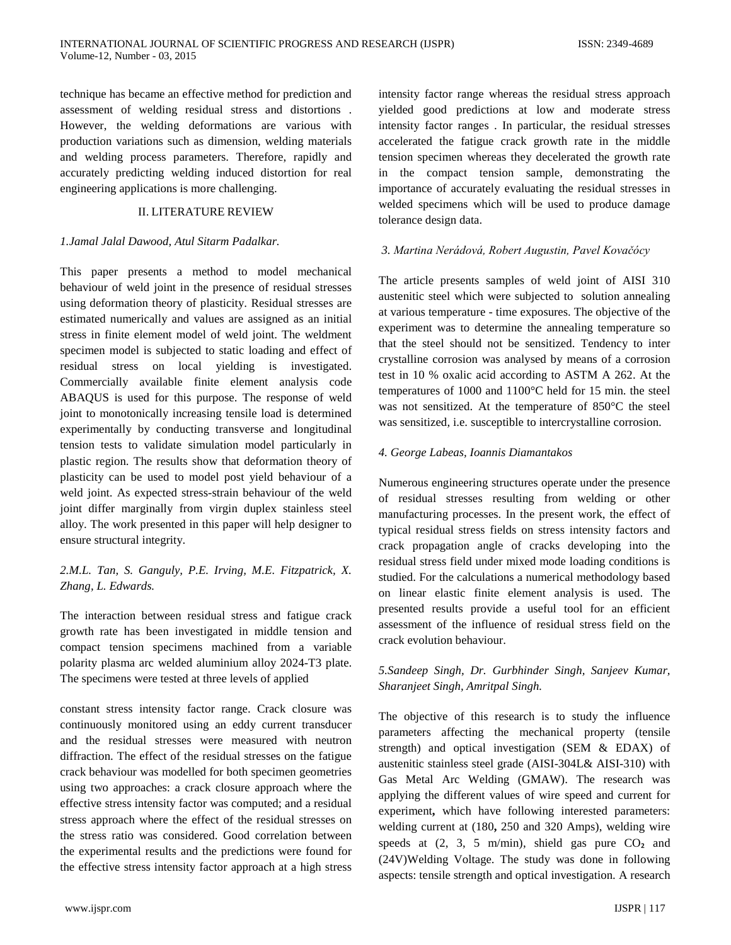technique has became an effective method for prediction and assessment of welding residual stress and distortions . However, the welding deformations are various with production variations such as dimension, welding materials and welding process parameters. Therefore, rapidly and accurately predicting welding induced distortion for real engineering applications is more challenging.

## II. LITERATURE REVIEW

### *1.Jamal Jalal Dawood, Atul Sitarm Padalkar.*

This paper presents a method to model mechanical behaviour of weld joint in the presence of residual stresses using deformation theory of plasticity. Residual stresses are estimated numerically and values are assigned as an initial stress in finite element model of weld joint. The weldment specimen model is subjected to static loading and effect of residual stress on local yielding is investigated. Commercially available finite element analysis code ABAQUS is used for this purpose. The response of weld joint to monotonically increasing tensile load is determined experimentally by conducting transverse and longitudinal tension tests to validate simulation model particularly in plastic region. The results show that deformation theory of plasticity can be used to model post yield behaviour of a weld joint. As expected stress-strain behaviour of the weld joint differ marginally from virgin duplex stainless steel alloy. The work presented in this paper will help designer to ensure structural integrity.

# *2.M.L. Tan, S. Ganguly, P.E. Irving, M.E. Fitzpatrick, X. Zhang, L. Edwards.*

The interaction between residual stress and fatigue crack growth rate has been investigated in middle tension and compact tension specimens machined from a variable polarity plasma arc welded aluminium alloy 2024-T3 plate. The specimens were tested at three levels of applied

constant stress intensity factor range. Crack closure was continuously monitored using an eddy current transducer and the residual stresses were measured with neutron diffraction. The effect of the residual stresses on the fatigue crack behaviour was modelled for both specimen geometries using two approaches: a crack closure approach where the effective stress intensity factor was computed; and a residual stress approach where the effect of the residual stresses on the stress ratio was considered. Good correlation between the experimental results and the predictions were found for the effective stress intensity factor approach at a high stress

www.ijspr.com IJSPR | 117

intensity factor range whereas the residual stress approach yielded good predictions at low and moderate stress intensity factor ranges . In particular, the residual stresses accelerated the fatigue crack growth rate in the middle tension specimen whereas they decelerated the growth rate in the compact tension sample, demonstrating the importance of accurately evaluating the residual stresses in welded specimens which will be used to produce damage tolerance design data.

## *3. Martina Nerádová, Robert Augustin, Pavel Kovačócy*

The article presents samples of weld joint of AISI 310 austenitic steel which were subjected to solution annealing at various temperature - time exposures. The objective of the experiment was to determine the annealing temperature so that the steel should not be sensitized. Tendency to inter crystalline corrosion was analysed by means of a corrosion test in 10 % oxalic acid according to ASTM A 262. At the temperatures of 1000 and 1100°C held for 15 min. the steel was not sensitized. At the temperature of 850°C the steel was sensitized, i.e. susceptible to intercrystalline corrosion.

## *4. George Labeas, Ioannis Diamantakos*

Numerous engineering structures operate under the presence of residual stresses resulting from welding or other manufacturing processes. In the present work, the effect of typical residual stress fields on stress intensity factors and crack propagation angle of cracks developing into the residual stress field under mixed mode loading conditions is studied. For the calculations a numerical methodology based on linear elastic finite element analysis is used. The presented results provide a useful tool for an efficient assessment of the influence of residual stress field on the crack evolution behaviour.

## *5.Sandeep Singh, Dr. Gurbhinder Singh, Sanjeev Kumar, Sharanjeet Singh, Amritpal Singh.*

The objective of this research is to study the influence parameters affecting the mechanical property (tensile strength) and optical investigation (SEM & EDAX) of austenitic stainless steel grade (AISI-304L& AISI-310) with Gas Metal Arc Welding (GMAW). The research was applying the different values of wire speed and current for experiment**,** which have following interested parameters: welding current at (180**,** 250 and 320 Amps), welding wire speeds at  $(2, 3, 5 \text{ m/min})$ , shield gas pure  $CO<sub>2</sub>$  and (24V)Welding Voltage. The study was done in following aspects: tensile strength and optical investigation. A research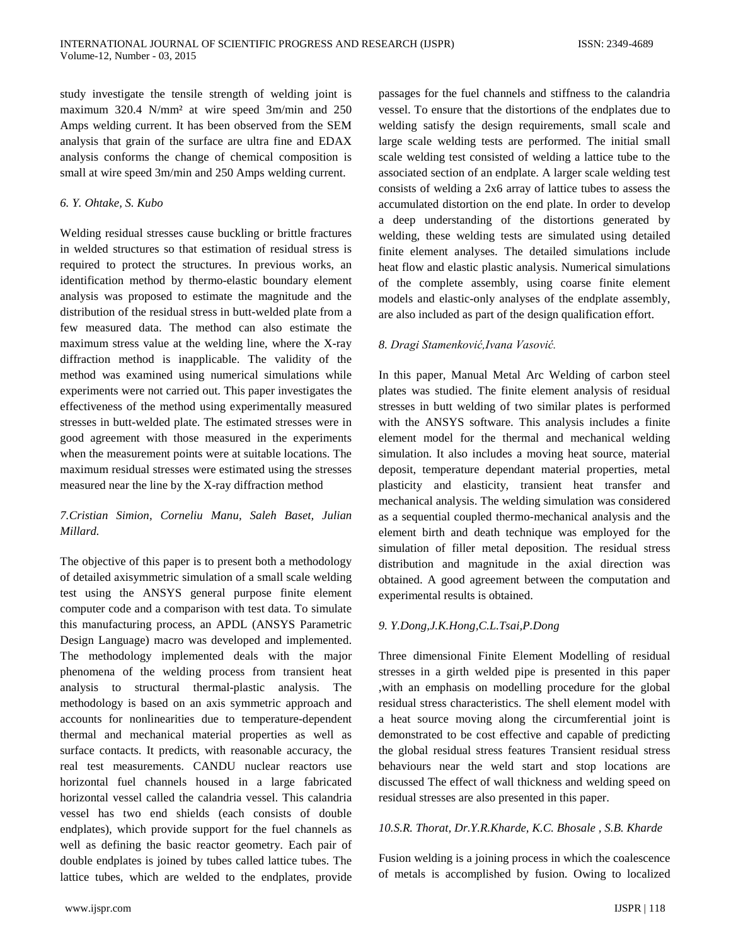study investigate the tensile strength of welding joint is maximum 320.4 N/mm² at wire speed 3m/min and 250 Amps welding current. It has been observed from the SEM analysis that grain of the surface are ultra fine and EDAX analysis conforms the change of chemical composition is small at wire speed 3m/min and 250 Amps welding current.

## *6. Y. Ohtake, S. Kubo*

Welding residual stresses cause buckling or brittle fractures in welded structures so that estimation of residual stress is required to protect the structures. In previous works, an identification method by thermo-elastic boundary element analysis was proposed to estimate the magnitude and the distribution of the residual stress in butt-welded plate from a few measured data. The method can also estimate the maximum stress value at the welding line, where the X-ray diffraction method is inapplicable. The validity of the method was examined using numerical simulations while experiments were not carried out. This paper investigates the effectiveness of the method using experimentally measured stresses in butt-welded plate. The estimated stresses were in good agreement with those measured in the experiments when the measurement points were at suitable locations. The maximum residual stresses were estimated using the stresses measured near the line by the X-ray diffraction method

# *7.Cristian Simion, Corneliu Manu, Saleh Baset, Julian Millard.*

The objective of this paper is to present both a methodology of detailed axisymmetric simulation of a small scale welding test using the ANSYS general purpose finite element computer code and a comparison with test data. To simulate this manufacturing process, an APDL (ANSYS Parametric Design Language) macro was developed and implemented. The methodology implemented deals with the major phenomena of the welding process from transient heat analysis to structural thermal-plastic analysis. The methodology is based on an axis symmetric approach and accounts for nonlinearities due to temperature-dependent thermal and mechanical material properties as well as surface contacts. It predicts, with reasonable accuracy, the real test measurements. CANDU nuclear reactors use horizontal fuel channels housed in a large fabricated horizontal vessel called the calandria vessel. This calandria vessel has two end shields (each consists of double endplates), which provide support for the fuel channels as well as defining the basic reactor geometry. Each pair of double endplates is joined by tubes called lattice tubes. The lattice tubes, which are welded to the endplates, provide passages for the fuel channels and stiffness to the calandria vessel. To ensure that the distortions of the endplates due to welding satisfy the design requirements, small scale and large scale welding tests are performed. The initial small scale welding test consisted of welding a lattice tube to the associated section of an endplate. A larger scale welding test consists of welding a 2x6 array of lattice tubes to assess the accumulated distortion on the end plate. In order to develop a deep understanding of the distortions generated by welding, these welding tests are simulated using detailed finite element analyses. The detailed simulations include heat flow and elastic plastic analysis. Numerical simulations of the complete assembly, using coarse finite element models and elastic-only analyses of the endplate assembly, are also included as part of the design qualification effort.

## *8. Dragi Stamenković,Ivana Vasović.*

In this paper, Manual Metal Arc Welding of carbon steel plates was studied. The finite element analysis of residual stresses in butt welding of two similar plates is performed with the ANSYS software. This analysis includes a finite element model for the thermal and mechanical welding simulation. It also includes a moving heat source, material deposit, temperature dependant material properties, metal plasticity and elasticity, transient heat transfer and mechanical analysis. The welding simulation was considered as a sequential coupled thermo-mechanical analysis and the element birth and death technique was employed for the simulation of filler metal deposition. The residual stress distribution and magnitude in the axial direction was obtained. A good agreement between the computation and experimental results is obtained.

## *9. Y.Dong,J.K.Hong,C.L.Tsai,P.Dong*

Three dimensional Finite Element Modelling of residual stresses in a girth welded pipe is presented in this paper ,with an emphasis on modelling procedure for the global residual stress characteristics. The shell element model with a heat source moving along the circumferential joint is demonstrated to be cost effective and capable of predicting the global residual stress features Transient residual stress behaviours near the weld start and stop locations are discussed The effect of wall thickness and welding speed on residual stresses are also presented in this paper.

## *10.S.R. Thorat, Dr.Y.R.Kharde, K.C. Bhosale , S.B. Kharde*

Fusion welding is a joining process in which the coalescence of metals is accomplished by fusion. Owing to localized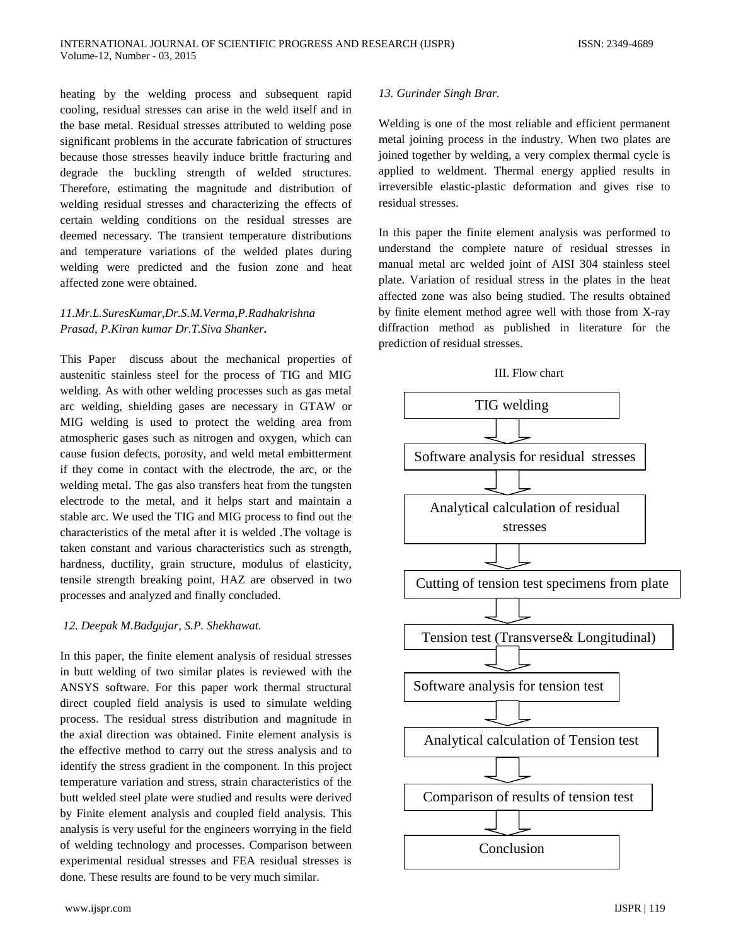heating by the welding process and subsequent rapid cooling, residual stresses can arise in the weld itself and in the base metal. Residual stresses attributed to welding pose significant problems in the accurate fabrication of structures because those stresses heavily induce brittle fracturing and degrade the buckling strength of welded structures. Therefore, estimating the magnitude and distribution of welding residual stresses and characterizing the effects of certain welding conditions on the residual stresses are deemed necessary. The transient temperature distributions and temperature variations of the welded plates during welding were predicted and the fusion zone and heat affected zone were obtained.

# *11.Mr.L.SuresKumar,Dr.S.M.Verma,P.Radhakrishna Prasad, P.Kiran kumar Dr.T.Siva Shanker***.**

This Paper discuss about the mechanical properties of austenitic stainless steel for the process of TIG and MIG welding. As with other welding processes such as gas metal arc welding, shielding gases are necessary in GTAW or MIG welding is used to protect the welding area from atmospheric gases such as nitrogen and oxygen, which can cause fusion defects, porosity, and weld metal embitterment if they come in contact with the electrode, the arc, or the welding metal. The gas also transfers heat from the tungsten electrode to the metal, and it helps start and maintain a stable arc. We used the TIG and MIG process to find out the characteristics of the metal after it is welded .The voltage is taken constant and various characteristics such as strength, hardness, ductility, grain structure, modulus of elasticity, tensile strength breaking point, HAZ are observed in two processes and analyzed and finally concluded.

## *12. Deepak M.Badgujar, S.P. Shekhawat.*

In this paper, the finite element analysis of residual stresses in butt welding of two similar plates is reviewed with the ANSYS software. For this paper work thermal structural direct coupled field analysis is used to simulate welding process. The residual stress distribution and magnitude in the axial direction was obtained. Finite element analysis is the effective method to carry out the stress analysis and to identify the stress gradient in the component. In this project temperature variation and stress, strain characteristics of the butt welded steel plate were studied and results were derived by Finite element analysis and coupled field analysis. This analysis is very useful for the engineers worrying in the field of welding technology and processes. Comparison between experimental residual stresses and FEA residual stresses is done. These results are found to be very much similar.

### *13. Gurinder Singh Brar.*

Welding is one of the most reliable and efficient permanent metal joining process in the industry. When two plates are joined together by welding, a very complex thermal cycle is applied to weldment. Thermal energy applied results in irreversible elastic-plastic deformation and gives rise to residual stresses.

In this paper the finite element analysis was performed to understand the complete nature of residual stresses in manual metal arc welded joint of AISI 304 stainless steel plate. Variation of residual stress in the plates in the heat affected zone was also being studied. The results obtained by finite element method agree well with those from X-ray diffraction method as published in literature for the prediction of residual stresses.